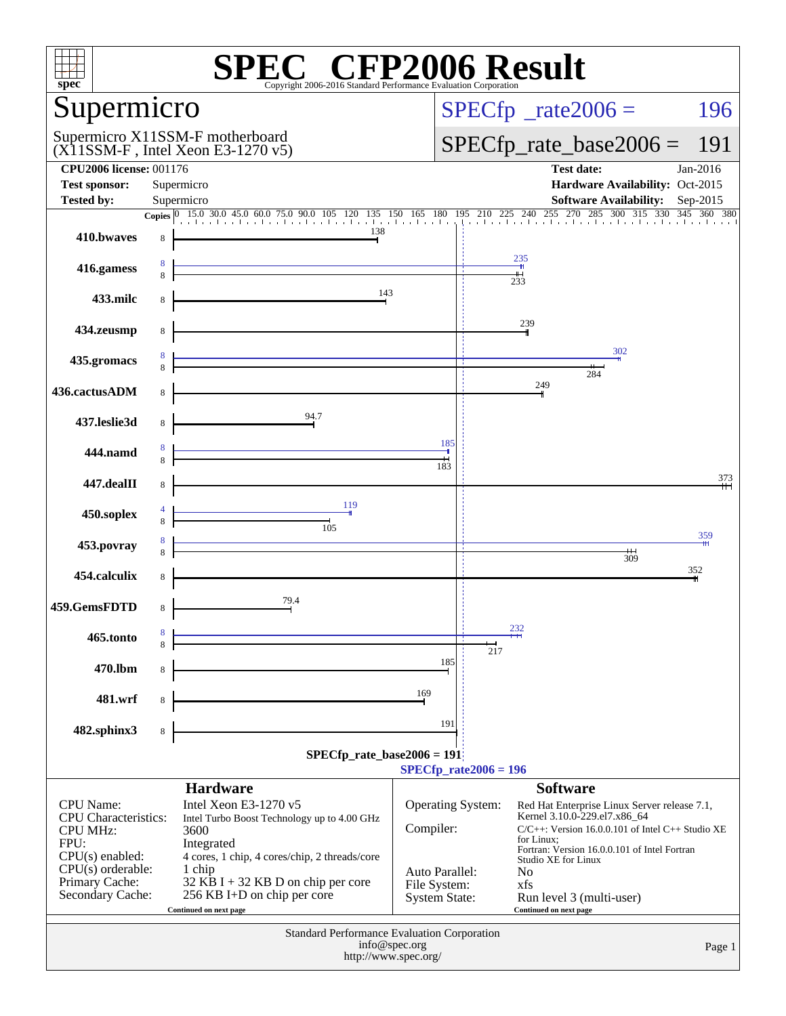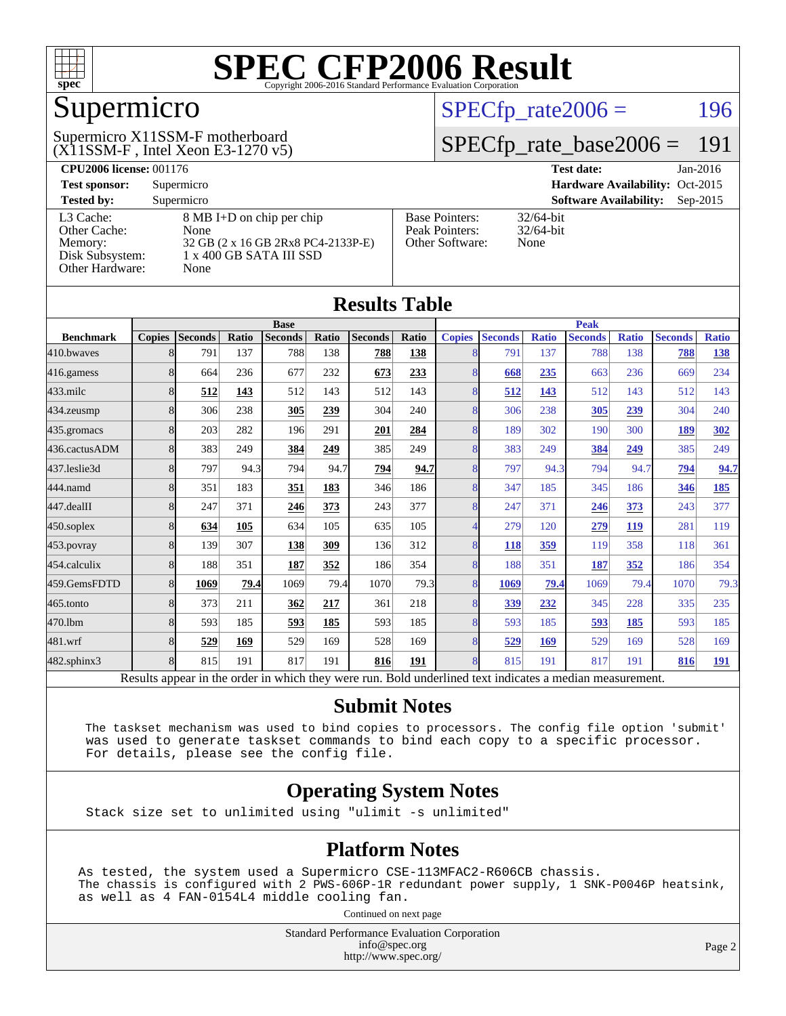

# Supermicro

#### $(X11SSM-F$ , Intel Xeon E3-1270 v5) Supermicro X11SSM-F motherboard

 $SPECTp_rate2006 = 196$ 

### [SPECfp\\_rate\\_base2006 =](http://www.spec.org/auto/cpu2006/Docs/result-fields.html#SPECfpratebase2006) 191

| <b>CPU2006 license: 001176</b> |                                    |                       | <b>Test date:</b><br>$Jan-2016$             |  |  |  |
|--------------------------------|------------------------------------|-----------------------|---------------------------------------------|--|--|--|
| <b>Test sponsor:</b>           | Supermicro                         |                       | Hardware Availability: Oct-2015             |  |  |  |
| <b>Tested by:</b>              | Supermicro                         |                       | <b>Software Availability:</b><br>$Sep-2015$ |  |  |  |
| L3 Cache:                      | 8 MB I+D on chip per chip          | <b>Base Pointers:</b> | $32/64$ -bit                                |  |  |  |
| Other Cache:                   | None                               | Peak Pointers:        | $32/64$ -bit                                |  |  |  |
| Memory:                        | 32 GB (2 x 16 GB 2Rx8 PC4-2133P-E) | Other Software:       | None                                        |  |  |  |
| Disk Subsystem:                | 1 x 400 GB SATA III SSD            |                       |                                             |  |  |  |
| Other Hardware:                | None                               |                       |                                             |  |  |  |

| <b>Results Table</b>                                                                                     |                |                |       |                |       |                |       |                |                |              |                |              |                |              |
|----------------------------------------------------------------------------------------------------------|----------------|----------------|-------|----------------|-------|----------------|-------|----------------|----------------|--------------|----------------|--------------|----------------|--------------|
|                                                                                                          |                |                |       | <b>Base</b>    |       |                |       |                |                |              | <b>Peak</b>    |              |                |              |
| <b>Benchmark</b>                                                                                         | <b>Copies</b>  | <b>Seconds</b> | Ratio | <b>Seconds</b> | Ratio | <b>Seconds</b> | Ratio | <b>Copies</b>  | <b>Seconds</b> | <b>Ratio</b> | <b>Seconds</b> | <b>Ratio</b> | <b>Seconds</b> | <b>Ratio</b> |
| 410.bwayes                                                                                               | 8              | 791            | 137   | 788            | 138   | 788            | 138   | 8              | 791            | 137          | 788            | 138          | 788            | <u>138</u>   |
| 416.gamess                                                                                               | 8              | 664            | 236   | 677            | 232   | 673            | 233   | 8              | 668            | 235          | 663            | 236          | 669            | 234          |
| 433.milc                                                                                                 | 8              | 512            | 143   | 512            | 143   | 512            | 143   | 8              | 512            | 143          | 512            | 143          | 512            | 143          |
| 434.zeusmp                                                                                               | 8              | 306            | 238   | 305            | 239   | 304            | 240   | 8              | 306            | 238          | 305            | 239          | 304            | 240          |
| 435.gromacs                                                                                              | 8              | 203            | 282   | 196            | 291   | 201            | 284   | $\overline{8}$ | 189            | 302          | 190            | 300          | 189            | <u>302</u>   |
| 436.cactusADM                                                                                            | 8              | 383            | 249   | 384            | 249   | 385            | 249   | 8              | 383            | 249          | 384            | 249          | 385            | 249          |
| 437.leslie3d                                                                                             | 8              | 797            | 94.3  | 794            | 94.7  | 794            | 94.7  | 8              | 797            | 94.3         | 794            | 94.7         | 794            | 94.7         |
| 444.namd                                                                                                 | $\overline{8}$ | 351            | 183   | 351            | 183   | 346            | 186   | $\overline{8}$ | 347            | 185          | 345            | 186          | 346            | <u>185</u>   |
| 447.dealII                                                                                               | 8              | 247            | 371   | 246            | 373   | 243            | 377   | $\overline{8}$ | 247            | 371          | 246            | 373          | 243            | 377          |
| 450.soplex                                                                                               | 8              | 634            | 105   | 634            | 105   | 635            | 105   |                | 279            | 120          | 279            | 119          | 281            | 119          |
| 453.povray                                                                                               | 8              | 139            | 307   | 138            | 309   | 136            | 312   | 8              | 118            | 359          | 119            | 358          | 118            | 361          |
| 454.calculix                                                                                             | 8              | 188            | 351   | 187            | 352   | 186            | 354   | $\overline{8}$ | 188            | 351          | 187            | 352          | 186            | 354          |
| 459.GemsFDTD                                                                                             | 8              | 1069           | 79.4  | 1069           | 79.4  | 1070           | 79.3  | $\overline{8}$ | 1069           | 79.4         | 1069           | 79.4         | 1070           | 79.3         |
| 465.tonto                                                                                                | 8              | 373            | 211   | 362            | 217   | 361            | 218   | 8              | 339            | 232          | 345            | 228          | 335            | 235          |
| 470.1bm                                                                                                  | 8              | 593            | 185   | 593            | 185   | 593            | 185   | $\overline{8}$ | 593            | 185          | 593            | 185          | 593            | 185          |
| 481.wrf                                                                                                  | 8              | 529            | 169   | 529            | 169   | 528            | 169   | 8              | 529            | 169          | 529            | 169          | 528            | 169          |
| 482.sphinx3                                                                                              | 8              | 815            | 191   | 817            | 191   | 816            | 191   | $\overline{8}$ | 815            | 191          | 817            | 191          | 816            | <b>191</b>   |
| Results appear in the order in which they were run. Bold underlined text indicates a median measurement. |                |                |       |                |       |                |       |                |                |              |                |              |                |              |

#### **[Submit Notes](http://www.spec.org/auto/cpu2006/Docs/result-fields.html#SubmitNotes)**

 The taskset mechanism was used to bind copies to processors. The config file option 'submit' was used to generate taskset commands to bind each copy to a specific processor. For details, please see the config file.

#### **[Operating System Notes](http://www.spec.org/auto/cpu2006/Docs/result-fields.html#OperatingSystemNotes)**

Stack size set to unlimited using "ulimit -s unlimited"

#### **[Platform Notes](http://www.spec.org/auto/cpu2006/Docs/result-fields.html#PlatformNotes)**

As tested, the system used a Supermicro CSE-113MFAC2-R606CB chassis. The chassis is configured with 2 PWS-606P-1R redundant power supply, 1 SNK-P0046P heatsink, as well as 4 FAN-0154L4 middle cooling fan.

Continued on next page

Standard Performance Evaluation Corporation [info@spec.org](mailto:info@spec.org) <http://www.spec.org/>

Page 2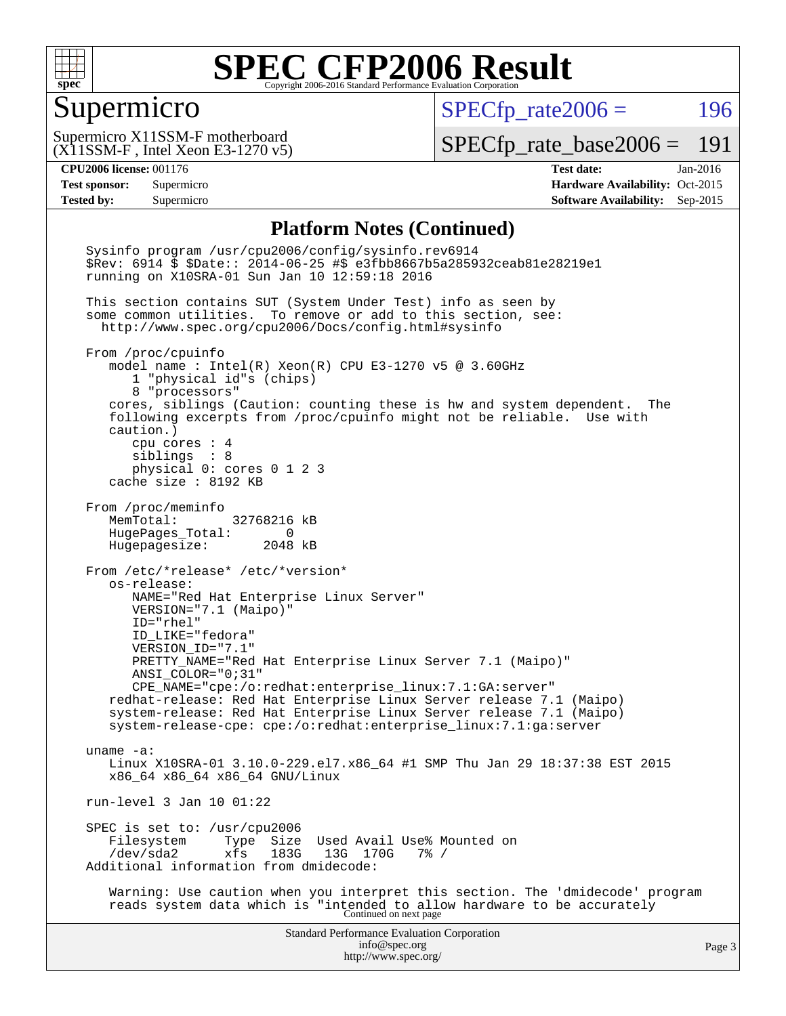

#### Supermicro

 $SPECTp\_rate2006 = 196$ 

(X11SSM-F , Intel Xeon E3-1270 v5) Supermicro X11SSM-F motherboard

[SPECfp\\_rate\\_base2006 =](http://www.spec.org/auto/cpu2006/Docs/result-fields.html#SPECfpratebase2006) 191

**[CPU2006 license:](http://www.spec.org/auto/cpu2006/Docs/result-fields.html#CPU2006license)** 001176 **[Test date:](http://www.spec.org/auto/cpu2006/Docs/result-fields.html#Testdate)** Jan-2016 **[Test sponsor:](http://www.spec.org/auto/cpu2006/Docs/result-fields.html#Testsponsor)** Supermicro Supermicro **[Hardware Availability:](http://www.spec.org/auto/cpu2006/Docs/result-fields.html#HardwareAvailability)** Oct-2015 **[Tested by:](http://www.spec.org/auto/cpu2006/Docs/result-fields.html#Testedby)** Supermicro **Supermicro [Software Availability:](http://www.spec.org/auto/cpu2006/Docs/result-fields.html#SoftwareAvailability)** Sep-2015

#### **[Platform Notes \(Continued\)](http://www.spec.org/auto/cpu2006/Docs/result-fields.html#PlatformNotes)**

Standard Performance Evaluation Corporation [info@spec.org](mailto:info@spec.org) <http://www.spec.org/> Page 3 Sysinfo program /usr/cpu2006/config/sysinfo.rev6914 \$Rev: 6914 \$ \$Date:: 2014-06-25 #\$ e3fbb8667b5a285932ceab81e28219e1 running on X10SRA-01 Sun Jan 10 12:59:18 2016 This section contains SUT (System Under Test) info as seen by some common utilities. To remove or add to this section, see: <http://www.spec.org/cpu2006/Docs/config.html#sysinfo> From /proc/cpuinfo model name : Intel(R) Xeon(R) CPU E3-1270 v5 @ 3.60GHz 1 "physical id"s (chips) 8 "processors" cores, siblings (Caution: counting these is hw and system dependent. The following excerpts from /proc/cpuinfo might not be reliable. Use with caution.) cpu cores : 4 siblings : 8 physical 0: cores 0 1 2 3 cache size : 8192 KB From /proc/meminfo MemTotal: 32768216 kB HugePages\_Total: 0 Hugepagesize: 2048 kB From /etc/\*release\* /etc/\*version\* os-release: NAME="Red Hat Enterprise Linux Server" VERSION="7.1 (Maipo)" ID="rhel" ID\_LIKE="fedora" VERSION\_ID="7.1" PRETTY\_NAME="Red Hat Enterprise Linux Server 7.1 (Maipo)" ANSI\_COLOR="0;31" CPE\_NAME="cpe:/o:redhat:enterprise\_linux:7.1:GA:server" redhat-release: Red Hat Enterprise Linux Server release 7.1 (Maipo) system-release: Red Hat Enterprise Linux Server release 7.1 (Maipo) system-release-cpe: cpe:/o:redhat:enterprise\_linux:7.1:ga:server uname -a: Linux X10SRA-01 3.10.0-229.el7.x86\_64 #1 SMP Thu Jan 29 18:37:38 EST 2015 x86\_64 x86\_64 x86\_64 GNU/Linux run-level 3 Jan 10 01:22 SPEC is set to: /usr/cpu2006<br>Filesystem Type Size Filesystem Type Size Used Avail Use% Mounted on<br>/dev/sda2 xfs 183G 13G 170G 7% / /dev/sda2 xfs 183G 13G 170G 7% / Additional information from dmidecode: Warning: Use caution when you interpret this section. The 'dmidecode' program reads system data which is "intended to allow hardware to be accurately Continued on next page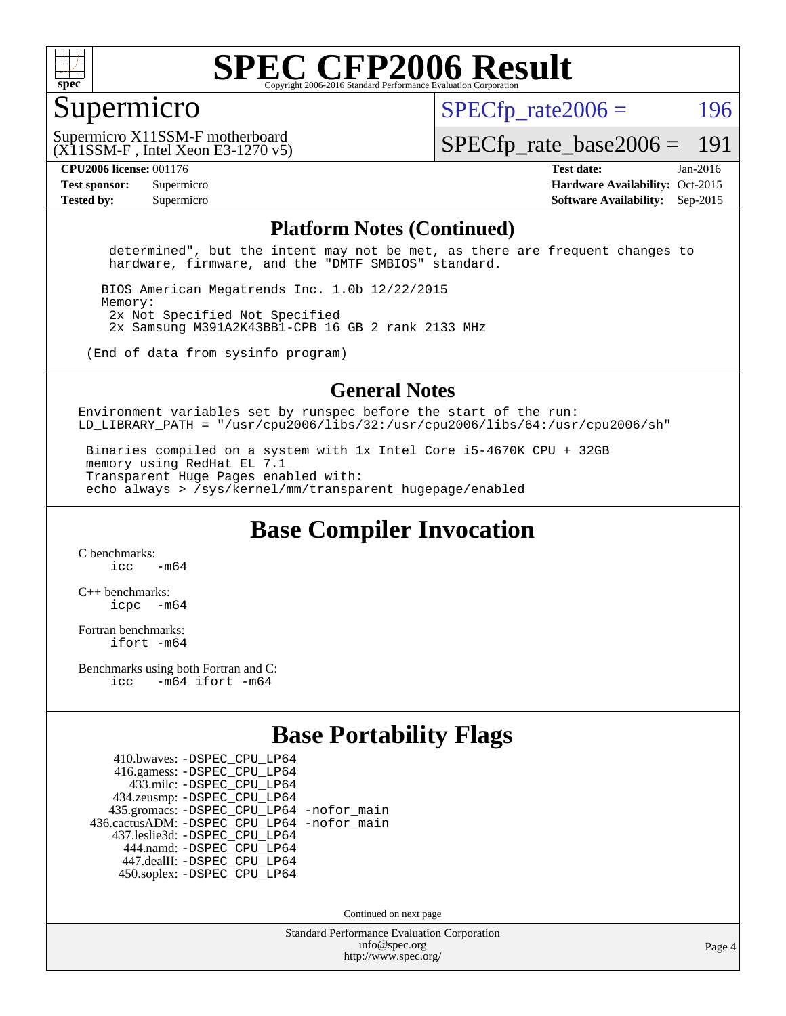

#### Supermicro

 $SPECTp\_rate2006 = 196$ 

(X11SSM-F , Intel Xeon E3-1270 v5) Supermicro X11SSM-F motherboard

[SPECfp\\_rate\\_base2006 =](http://www.spec.org/auto/cpu2006/Docs/result-fields.html#SPECfpratebase2006) 191

**[CPU2006 license:](http://www.spec.org/auto/cpu2006/Docs/result-fields.html#CPU2006license)** 001176 **[Test date:](http://www.spec.org/auto/cpu2006/Docs/result-fields.html#Testdate)** Jan-2016 **[Test sponsor:](http://www.spec.org/auto/cpu2006/Docs/result-fields.html#Testsponsor)** Supermicro Supermicro **[Hardware Availability:](http://www.spec.org/auto/cpu2006/Docs/result-fields.html#HardwareAvailability)** Oct-2015 **[Tested by:](http://www.spec.org/auto/cpu2006/Docs/result-fields.html#Testedby)** Supermicro **Supermicro [Software Availability:](http://www.spec.org/auto/cpu2006/Docs/result-fields.html#SoftwareAvailability)** Sep-2015

#### **[Platform Notes \(Continued\)](http://www.spec.org/auto/cpu2006/Docs/result-fields.html#PlatformNotes)**

 determined", but the intent may not be met, as there are frequent changes to hardware, firmware, and the "DMTF SMBIOS" standard.

 BIOS American Megatrends Inc. 1.0b 12/22/2015 Memory: 2x Not Specified Not Specified 2x Samsung M391A2K43BB1-CPB 16 GB 2 rank 2133 MHz

(End of data from sysinfo program)

#### **[General Notes](http://www.spec.org/auto/cpu2006/Docs/result-fields.html#GeneralNotes)**

Environment variables set by runspec before the start of the run: LD LIBRARY\_PATH = "/usr/cpu2006/libs/32:/usr/cpu2006/libs/64:/usr/cpu2006/sh"

 Binaries compiled on a system with 1x Intel Core i5-4670K CPU + 32GB memory using RedHat EL 7.1 Transparent Huge Pages enabled with: echo always > /sys/kernel/mm/transparent\_hugepage/enabled

**[Base Compiler Invocation](http://www.spec.org/auto/cpu2006/Docs/result-fields.html#BaseCompilerInvocation)**

[C benchmarks](http://www.spec.org/auto/cpu2006/Docs/result-fields.html#Cbenchmarks):  $icc$   $-m64$ 

[C++ benchmarks:](http://www.spec.org/auto/cpu2006/Docs/result-fields.html#CXXbenchmarks) [icpc -m64](http://www.spec.org/cpu2006/results/res2016q1/cpu2006-20160111-38647.flags.html#user_CXXbase_intel_icpc_64bit_bedb90c1146cab66620883ef4f41a67e)

[Fortran benchmarks](http://www.spec.org/auto/cpu2006/Docs/result-fields.html#Fortranbenchmarks): [ifort -m64](http://www.spec.org/cpu2006/results/res2016q1/cpu2006-20160111-38647.flags.html#user_FCbase_intel_ifort_64bit_ee9d0fb25645d0210d97eb0527dcc06e)

[Benchmarks using both Fortran and C](http://www.spec.org/auto/cpu2006/Docs/result-fields.html#BenchmarksusingbothFortranandC): [icc -m64](http://www.spec.org/cpu2006/results/res2016q1/cpu2006-20160111-38647.flags.html#user_CC_FCbase_intel_icc_64bit_0b7121f5ab7cfabee23d88897260401c) [ifort -m64](http://www.spec.org/cpu2006/results/res2016q1/cpu2006-20160111-38647.flags.html#user_CC_FCbase_intel_ifort_64bit_ee9d0fb25645d0210d97eb0527dcc06e)

### **[Base Portability Flags](http://www.spec.org/auto/cpu2006/Docs/result-fields.html#BasePortabilityFlags)**

 410.bwaves: [-DSPEC\\_CPU\\_LP64](http://www.spec.org/cpu2006/results/res2016q1/cpu2006-20160111-38647.flags.html#suite_basePORTABILITY410_bwaves_DSPEC_CPU_LP64) 416.gamess: [-DSPEC\\_CPU\\_LP64](http://www.spec.org/cpu2006/results/res2016q1/cpu2006-20160111-38647.flags.html#suite_basePORTABILITY416_gamess_DSPEC_CPU_LP64) 433.milc: [-DSPEC\\_CPU\\_LP64](http://www.spec.org/cpu2006/results/res2016q1/cpu2006-20160111-38647.flags.html#suite_basePORTABILITY433_milc_DSPEC_CPU_LP64) 434.zeusmp: [-DSPEC\\_CPU\\_LP64](http://www.spec.org/cpu2006/results/res2016q1/cpu2006-20160111-38647.flags.html#suite_basePORTABILITY434_zeusmp_DSPEC_CPU_LP64) 435.gromacs: [-DSPEC\\_CPU\\_LP64](http://www.spec.org/cpu2006/results/res2016q1/cpu2006-20160111-38647.flags.html#suite_basePORTABILITY435_gromacs_DSPEC_CPU_LP64) [-nofor\\_main](http://www.spec.org/cpu2006/results/res2016q1/cpu2006-20160111-38647.flags.html#user_baseLDPORTABILITY435_gromacs_f-nofor_main) 436.cactusADM: [-DSPEC\\_CPU\\_LP64](http://www.spec.org/cpu2006/results/res2016q1/cpu2006-20160111-38647.flags.html#suite_basePORTABILITY436_cactusADM_DSPEC_CPU_LP64) [-nofor\\_main](http://www.spec.org/cpu2006/results/res2016q1/cpu2006-20160111-38647.flags.html#user_baseLDPORTABILITY436_cactusADM_f-nofor_main) 437.leslie3d: [-DSPEC\\_CPU\\_LP64](http://www.spec.org/cpu2006/results/res2016q1/cpu2006-20160111-38647.flags.html#suite_basePORTABILITY437_leslie3d_DSPEC_CPU_LP64) 444.namd: [-DSPEC\\_CPU\\_LP64](http://www.spec.org/cpu2006/results/res2016q1/cpu2006-20160111-38647.flags.html#suite_basePORTABILITY444_namd_DSPEC_CPU_LP64) 447.dealII: [-DSPEC\\_CPU\\_LP64](http://www.spec.org/cpu2006/results/res2016q1/cpu2006-20160111-38647.flags.html#suite_basePORTABILITY447_dealII_DSPEC_CPU_LP64) 450.soplex: [-DSPEC\\_CPU\\_LP64](http://www.spec.org/cpu2006/results/res2016q1/cpu2006-20160111-38647.flags.html#suite_basePORTABILITY450_soplex_DSPEC_CPU_LP64)

Continued on next page

Standard Performance Evaluation Corporation [info@spec.org](mailto:info@spec.org) <http://www.spec.org/>

Page 4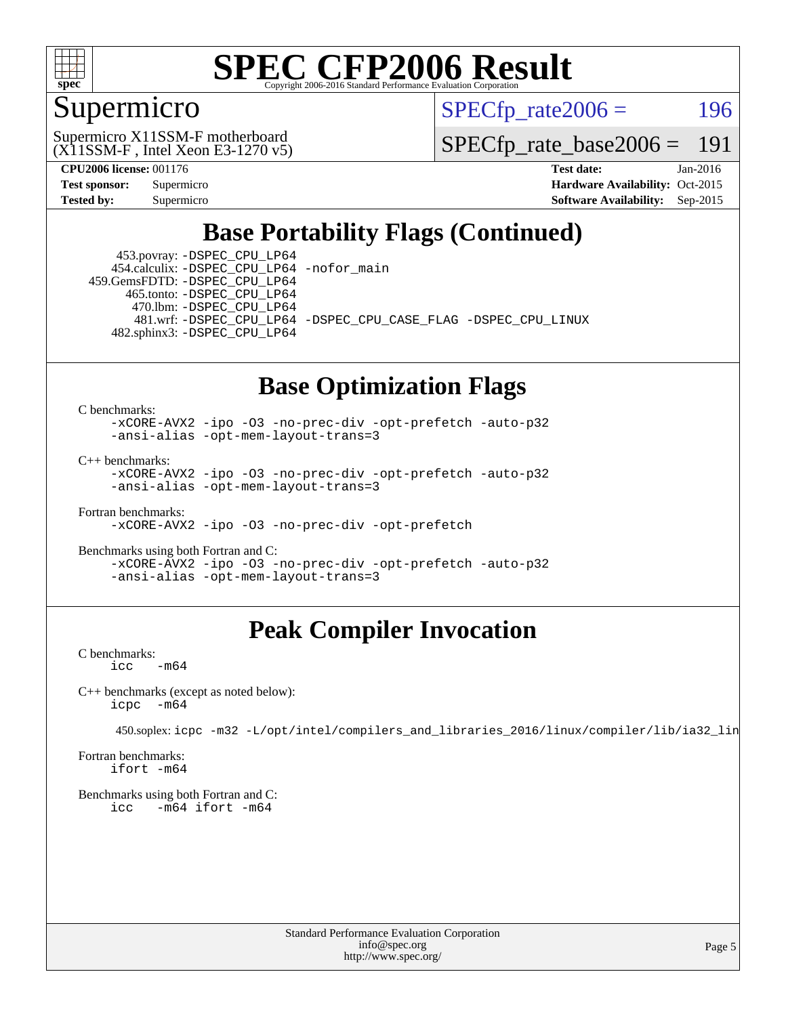

### Supermicro

 $SPECTp\_rate2006 = 196$ 

(X11SSM-F , Intel Xeon E3-1270 v5) Supermicro X11SSM-F motherboard

[SPECfp\\_rate\\_base2006 =](http://www.spec.org/auto/cpu2006/Docs/result-fields.html#SPECfpratebase2006) 191

**[CPU2006 license:](http://www.spec.org/auto/cpu2006/Docs/result-fields.html#CPU2006license)** 001176 **[Test date:](http://www.spec.org/auto/cpu2006/Docs/result-fields.html#Testdate)** Jan-2016 **[Test sponsor:](http://www.spec.org/auto/cpu2006/Docs/result-fields.html#Testsponsor)** Supermicro Supermicro **[Hardware Availability:](http://www.spec.org/auto/cpu2006/Docs/result-fields.html#HardwareAvailability)** Oct-2015 **[Tested by:](http://www.spec.org/auto/cpu2006/Docs/result-fields.html#Testedby)** Supermicro **Supermicro [Software Availability:](http://www.spec.org/auto/cpu2006/Docs/result-fields.html#SoftwareAvailability)** Sep-2015

### **[Base Portability Flags \(Continued\)](http://www.spec.org/auto/cpu2006/Docs/result-fields.html#BasePortabilityFlags)**

 453.povray: [-DSPEC\\_CPU\\_LP64](http://www.spec.org/cpu2006/results/res2016q1/cpu2006-20160111-38647.flags.html#suite_basePORTABILITY453_povray_DSPEC_CPU_LP64) 454.calculix: [-DSPEC\\_CPU\\_LP64](http://www.spec.org/cpu2006/results/res2016q1/cpu2006-20160111-38647.flags.html#suite_basePORTABILITY454_calculix_DSPEC_CPU_LP64) [-nofor\\_main](http://www.spec.org/cpu2006/results/res2016q1/cpu2006-20160111-38647.flags.html#user_baseLDPORTABILITY454_calculix_f-nofor_main) 459.GemsFDTD: [-DSPEC\\_CPU\\_LP64](http://www.spec.org/cpu2006/results/res2016q1/cpu2006-20160111-38647.flags.html#suite_basePORTABILITY459_GemsFDTD_DSPEC_CPU_LP64)

 465.tonto: [-DSPEC\\_CPU\\_LP64](http://www.spec.org/cpu2006/results/res2016q1/cpu2006-20160111-38647.flags.html#suite_basePORTABILITY465_tonto_DSPEC_CPU_LP64) 470.lbm: [-DSPEC\\_CPU\\_LP64](http://www.spec.org/cpu2006/results/res2016q1/cpu2006-20160111-38647.flags.html#suite_basePORTABILITY470_lbm_DSPEC_CPU_LP64)

 481.wrf: [-DSPEC\\_CPU\\_LP64](http://www.spec.org/cpu2006/results/res2016q1/cpu2006-20160111-38647.flags.html#suite_basePORTABILITY481_wrf_DSPEC_CPU_LP64) [-DSPEC\\_CPU\\_CASE\\_FLAG](http://www.spec.org/cpu2006/results/res2016q1/cpu2006-20160111-38647.flags.html#b481.wrf_baseCPORTABILITY_DSPEC_CPU_CASE_FLAG) [-DSPEC\\_CPU\\_LINUX](http://www.spec.org/cpu2006/results/res2016q1/cpu2006-20160111-38647.flags.html#b481.wrf_baseCPORTABILITY_DSPEC_CPU_LINUX) 482.sphinx3: [-DSPEC\\_CPU\\_LP64](http://www.spec.org/cpu2006/results/res2016q1/cpu2006-20160111-38647.flags.html#suite_basePORTABILITY482_sphinx3_DSPEC_CPU_LP64)

#### **[Base Optimization Flags](http://www.spec.org/auto/cpu2006/Docs/result-fields.html#BaseOptimizationFlags)**

[C benchmarks](http://www.spec.org/auto/cpu2006/Docs/result-fields.html#Cbenchmarks):

[-xCORE-AVX2](http://www.spec.org/cpu2006/results/res2016q1/cpu2006-20160111-38647.flags.html#user_CCbase_f-xAVX2_5f5fc0cbe2c9f62c816d3e45806c70d7) [-ipo](http://www.spec.org/cpu2006/results/res2016q1/cpu2006-20160111-38647.flags.html#user_CCbase_f-ipo) [-O3](http://www.spec.org/cpu2006/results/res2016q1/cpu2006-20160111-38647.flags.html#user_CCbase_f-O3) [-no-prec-div](http://www.spec.org/cpu2006/results/res2016q1/cpu2006-20160111-38647.flags.html#user_CCbase_f-no-prec-div) [-opt-prefetch](http://www.spec.org/cpu2006/results/res2016q1/cpu2006-20160111-38647.flags.html#user_CCbase_f-opt-prefetch) [-auto-p32](http://www.spec.org/cpu2006/results/res2016q1/cpu2006-20160111-38647.flags.html#user_CCbase_f-auto-p32) [-ansi-alias](http://www.spec.org/cpu2006/results/res2016q1/cpu2006-20160111-38647.flags.html#user_CCbase_f-ansi-alias) [-opt-mem-layout-trans=3](http://www.spec.org/cpu2006/results/res2016q1/cpu2006-20160111-38647.flags.html#user_CCbase_f-opt-mem-layout-trans_a7b82ad4bd7abf52556d4961a2ae94d5)

[C++ benchmarks:](http://www.spec.org/auto/cpu2006/Docs/result-fields.html#CXXbenchmarks)

[-xCORE-AVX2](http://www.spec.org/cpu2006/results/res2016q1/cpu2006-20160111-38647.flags.html#user_CXXbase_f-xAVX2_5f5fc0cbe2c9f62c816d3e45806c70d7) [-ipo](http://www.spec.org/cpu2006/results/res2016q1/cpu2006-20160111-38647.flags.html#user_CXXbase_f-ipo) [-O3](http://www.spec.org/cpu2006/results/res2016q1/cpu2006-20160111-38647.flags.html#user_CXXbase_f-O3) [-no-prec-div](http://www.spec.org/cpu2006/results/res2016q1/cpu2006-20160111-38647.flags.html#user_CXXbase_f-no-prec-div) [-opt-prefetch](http://www.spec.org/cpu2006/results/res2016q1/cpu2006-20160111-38647.flags.html#user_CXXbase_f-opt-prefetch) [-auto-p32](http://www.spec.org/cpu2006/results/res2016q1/cpu2006-20160111-38647.flags.html#user_CXXbase_f-auto-p32) [-ansi-alias](http://www.spec.org/cpu2006/results/res2016q1/cpu2006-20160111-38647.flags.html#user_CXXbase_f-ansi-alias) [-opt-mem-layout-trans=3](http://www.spec.org/cpu2006/results/res2016q1/cpu2006-20160111-38647.flags.html#user_CXXbase_f-opt-mem-layout-trans_a7b82ad4bd7abf52556d4961a2ae94d5)

[Fortran benchmarks](http://www.spec.org/auto/cpu2006/Docs/result-fields.html#Fortranbenchmarks): [-xCORE-AVX2](http://www.spec.org/cpu2006/results/res2016q1/cpu2006-20160111-38647.flags.html#user_FCbase_f-xAVX2_5f5fc0cbe2c9f62c816d3e45806c70d7) [-ipo](http://www.spec.org/cpu2006/results/res2016q1/cpu2006-20160111-38647.flags.html#user_FCbase_f-ipo) [-O3](http://www.spec.org/cpu2006/results/res2016q1/cpu2006-20160111-38647.flags.html#user_FCbase_f-O3) [-no-prec-div](http://www.spec.org/cpu2006/results/res2016q1/cpu2006-20160111-38647.flags.html#user_FCbase_f-no-prec-div) [-opt-prefetch](http://www.spec.org/cpu2006/results/res2016q1/cpu2006-20160111-38647.flags.html#user_FCbase_f-opt-prefetch)

[Benchmarks using both Fortran and C](http://www.spec.org/auto/cpu2006/Docs/result-fields.html#BenchmarksusingbothFortranandC): [-xCORE-AVX2](http://www.spec.org/cpu2006/results/res2016q1/cpu2006-20160111-38647.flags.html#user_CC_FCbase_f-xAVX2_5f5fc0cbe2c9f62c816d3e45806c70d7) [-ipo](http://www.spec.org/cpu2006/results/res2016q1/cpu2006-20160111-38647.flags.html#user_CC_FCbase_f-ipo) [-O3](http://www.spec.org/cpu2006/results/res2016q1/cpu2006-20160111-38647.flags.html#user_CC_FCbase_f-O3) [-no-prec-div](http://www.spec.org/cpu2006/results/res2016q1/cpu2006-20160111-38647.flags.html#user_CC_FCbase_f-no-prec-div) [-opt-prefetch](http://www.spec.org/cpu2006/results/res2016q1/cpu2006-20160111-38647.flags.html#user_CC_FCbase_f-opt-prefetch) [-auto-p32](http://www.spec.org/cpu2006/results/res2016q1/cpu2006-20160111-38647.flags.html#user_CC_FCbase_f-auto-p32) [-ansi-alias](http://www.spec.org/cpu2006/results/res2016q1/cpu2006-20160111-38647.flags.html#user_CC_FCbase_f-ansi-alias) [-opt-mem-layout-trans=3](http://www.spec.org/cpu2006/results/res2016q1/cpu2006-20160111-38647.flags.html#user_CC_FCbase_f-opt-mem-layout-trans_a7b82ad4bd7abf52556d4961a2ae94d5)

### **[Peak Compiler Invocation](http://www.spec.org/auto/cpu2006/Docs/result-fields.html#PeakCompilerInvocation)**

[C benchmarks](http://www.spec.org/auto/cpu2006/Docs/result-fields.html#Cbenchmarks):  $\text{icc}$   $-\text{m64}$ 

[C++ benchmarks \(except as noted below\):](http://www.spec.org/auto/cpu2006/Docs/result-fields.html#CXXbenchmarksexceptasnotedbelow) [icpc -m64](http://www.spec.org/cpu2006/results/res2016q1/cpu2006-20160111-38647.flags.html#user_CXXpeak_intel_icpc_64bit_bedb90c1146cab66620883ef4f41a67e)

450.soplex: [icpc -m32 -L/opt/intel/compilers\\_and\\_libraries\\_2016/linux/compiler/lib/ia32\\_lin](http://www.spec.org/cpu2006/results/res2016q1/cpu2006-20160111-38647.flags.html#user_peakCXXLD450_soplex_intel_icpc_b4f50a394bdb4597aa5879c16bc3f5c5)

[Fortran benchmarks](http://www.spec.org/auto/cpu2006/Docs/result-fields.html#Fortranbenchmarks): [ifort -m64](http://www.spec.org/cpu2006/results/res2016q1/cpu2006-20160111-38647.flags.html#user_FCpeak_intel_ifort_64bit_ee9d0fb25645d0210d97eb0527dcc06e)

[Benchmarks using both Fortran and C](http://www.spec.org/auto/cpu2006/Docs/result-fields.html#BenchmarksusingbothFortranandC): [icc -m64](http://www.spec.org/cpu2006/results/res2016q1/cpu2006-20160111-38647.flags.html#user_CC_FCpeak_intel_icc_64bit_0b7121f5ab7cfabee23d88897260401c) [ifort -m64](http://www.spec.org/cpu2006/results/res2016q1/cpu2006-20160111-38647.flags.html#user_CC_FCpeak_intel_ifort_64bit_ee9d0fb25645d0210d97eb0527dcc06e)

> Standard Performance Evaluation Corporation [info@spec.org](mailto:info@spec.org) <http://www.spec.org/>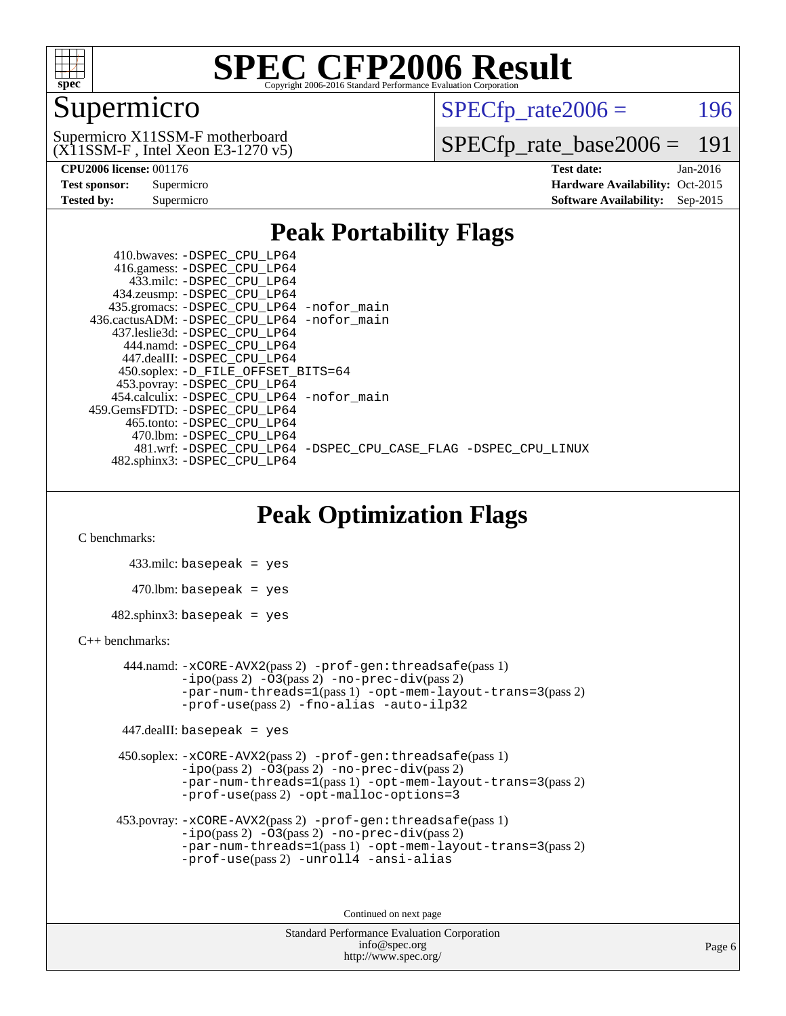

### Supermicro

 $SPECTp\_rate2006 = 196$ 

(X11SSM-F , Intel Xeon E3-1270 v5) Supermicro X11SSM-F motherboard

[SPECfp\\_rate\\_base2006 =](http://www.spec.org/auto/cpu2006/Docs/result-fields.html#SPECfpratebase2006) 191

| Test sponsor:     | Supermicro |
|-------------------|------------|
| <b>Tested by:</b> | Supermicro |

**[CPU2006 license:](http://www.spec.org/auto/cpu2006/Docs/result-fields.html#CPU2006license)** 001176 **[Test date:](http://www.spec.org/auto/cpu2006/Docs/result-fields.html#Testdate)** Jan-2016 **[Hardware Availability:](http://www.spec.org/auto/cpu2006/Docs/result-fields.html#HardwareAvailability)** Oct-2015 **[Software Availability:](http://www.spec.org/auto/cpu2006/Docs/result-fields.html#SoftwareAvailability)** Sep-2015

### **[Peak Portability Flags](http://www.spec.org/auto/cpu2006/Docs/result-fields.html#PeakPortabilityFlags)**

 410.bwaves: [-DSPEC\\_CPU\\_LP64](http://www.spec.org/cpu2006/results/res2016q1/cpu2006-20160111-38647.flags.html#suite_peakPORTABILITY410_bwaves_DSPEC_CPU_LP64) 416.gamess: [-DSPEC\\_CPU\\_LP64](http://www.spec.org/cpu2006/results/res2016q1/cpu2006-20160111-38647.flags.html#suite_peakPORTABILITY416_gamess_DSPEC_CPU_LP64) 433.milc: [-DSPEC\\_CPU\\_LP64](http://www.spec.org/cpu2006/results/res2016q1/cpu2006-20160111-38647.flags.html#suite_peakPORTABILITY433_milc_DSPEC_CPU_LP64) 434.zeusmp: [-DSPEC\\_CPU\\_LP64](http://www.spec.org/cpu2006/results/res2016q1/cpu2006-20160111-38647.flags.html#suite_peakPORTABILITY434_zeusmp_DSPEC_CPU_LP64) 435.gromacs: [-DSPEC\\_CPU\\_LP64](http://www.spec.org/cpu2006/results/res2016q1/cpu2006-20160111-38647.flags.html#suite_peakPORTABILITY435_gromacs_DSPEC_CPU_LP64) [-nofor\\_main](http://www.spec.org/cpu2006/results/res2016q1/cpu2006-20160111-38647.flags.html#user_peakLDPORTABILITY435_gromacs_f-nofor_main) 436.cactusADM: [-DSPEC\\_CPU\\_LP64](http://www.spec.org/cpu2006/results/res2016q1/cpu2006-20160111-38647.flags.html#suite_peakPORTABILITY436_cactusADM_DSPEC_CPU_LP64) [-nofor\\_main](http://www.spec.org/cpu2006/results/res2016q1/cpu2006-20160111-38647.flags.html#user_peakLDPORTABILITY436_cactusADM_f-nofor_main) 437.leslie3d: [-DSPEC\\_CPU\\_LP64](http://www.spec.org/cpu2006/results/res2016q1/cpu2006-20160111-38647.flags.html#suite_peakPORTABILITY437_leslie3d_DSPEC_CPU_LP64) 444.namd: [-DSPEC\\_CPU\\_LP64](http://www.spec.org/cpu2006/results/res2016q1/cpu2006-20160111-38647.flags.html#suite_peakPORTABILITY444_namd_DSPEC_CPU_LP64) 447.dealII: [-DSPEC\\_CPU\\_LP64](http://www.spec.org/cpu2006/results/res2016q1/cpu2006-20160111-38647.flags.html#suite_peakPORTABILITY447_dealII_DSPEC_CPU_LP64) 450.soplex: [-D\\_FILE\\_OFFSET\\_BITS=64](http://www.spec.org/cpu2006/results/res2016q1/cpu2006-20160111-38647.flags.html#user_peakPORTABILITY450_soplex_file_offset_bits_64_438cf9856305ebd76870a2c6dc2689ab) 453.povray: [-DSPEC\\_CPU\\_LP64](http://www.spec.org/cpu2006/results/res2016q1/cpu2006-20160111-38647.flags.html#suite_peakPORTABILITY453_povray_DSPEC_CPU_LP64) 454.calculix: [-DSPEC\\_CPU\\_LP64](http://www.spec.org/cpu2006/results/res2016q1/cpu2006-20160111-38647.flags.html#suite_peakPORTABILITY454_calculix_DSPEC_CPU_LP64) [-nofor\\_main](http://www.spec.org/cpu2006/results/res2016q1/cpu2006-20160111-38647.flags.html#user_peakLDPORTABILITY454_calculix_f-nofor_main) 459.GemsFDTD: [-DSPEC\\_CPU\\_LP64](http://www.spec.org/cpu2006/results/res2016q1/cpu2006-20160111-38647.flags.html#suite_peakPORTABILITY459_GemsFDTD_DSPEC_CPU_LP64) 465.tonto: [-DSPEC\\_CPU\\_LP64](http://www.spec.org/cpu2006/results/res2016q1/cpu2006-20160111-38647.flags.html#suite_peakPORTABILITY465_tonto_DSPEC_CPU_LP64) 470.lbm: [-DSPEC\\_CPU\\_LP64](http://www.spec.org/cpu2006/results/res2016q1/cpu2006-20160111-38647.flags.html#suite_peakPORTABILITY470_lbm_DSPEC_CPU_LP64) 481.wrf: [-DSPEC\\_CPU\\_LP64](http://www.spec.org/cpu2006/results/res2016q1/cpu2006-20160111-38647.flags.html#suite_peakPORTABILITY481_wrf_DSPEC_CPU_LP64) [-DSPEC\\_CPU\\_CASE\\_FLAG](http://www.spec.org/cpu2006/results/res2016q1/cpu2006-20160111-38647.flags.html#b481.wrf_peakCPORTABILITY_DSPEC_CPU_CASE_FLAG) [-DSPEC\\_CPU\\_LINUX](http://www.spec.org/cpu2006/results/res2016q1/cpu2006-20160111-38647.flags.html#b481.wrf_peakCPORTABILITY_DSPEC_CPU_LINUX) 482.sphinx3: [-DSPEC\\_CPU\\_LP64](http://www.spec.org/cpu2006/results/res2016q1/cpu2006-20160111-38647.flags.html#suite_peakPORTABILITY482_sphinx3_DSPEC_CPU_LP64)

### **[Peak Optimization Flags](http://www.spec.org/auto/cpu2006/Docs/result-fields.html#PeakOptimizationFlags)**

[C benchmarks](http://www.spec.org/auto/cpu2006/Docs/result-fields.html#Cbenchmarks):

 433.milc: basepeak = yes  $470.1$ bm: basepeak = yes  $482$ .sphinx3: basepeak = yes

#### [C++ benchmarks:](http://www.spec.org/auto/cpu2006/Docs/result-fields.html#CXXbenchmarks)

 444.namd: [-xCORE-AVX2](http://www.spec.org/cpu2006/results/res2016q1/cpu2006-20160111-38647.flags.html#user_peakPASS2_CXXFLAGSPASS2_LDFLAGS444_namd_f-xAVX2_5f5fc0cbe2c9f62c816d3e45806c70d7)(pass 2) [-prof-gen:threadsafe](http://www.spec.org/cpu2006/results/res2016q1/cpu2006-20160111-38647.flags.html#user_peakPASS1_CXXFLAGSPASS1_LDFLAGS444_namd_prof_gen_21a26eb79f378b550acd7bec9fe4467a)(pass 1)  $-i\text{po}(pass 2) -03(pass 2) -no-prec-div(pass 2)$  $-i\text{po}(pass 2) -03(pass 2) -no-prec-div(pass 2)$  $-i\text{po}(pass 2) -03(pass 2) -no-prec-div(pass 2)$ [-par-num-threads=1](http://www.spec.org/cpu2006/results/res2016q1/cpu2006-20160111-38647.flags.html#user_peakPASS1_CXXFLAGSPASS1_LDFLAGS444_namd_par_num_threads_786a6ff141b4e9e90432e998842df6c2)(pass 1) [-opt-mem-layout-trans=3](http://www.spec.org/cpu2006/results/res2016q1/cpu2006-20160111-38647.flags.html#user_peakPASS2_CXXFLAGS444_namd_f-opt-mem-layout-trans_a7b82ad4bd7abf52556d4961a2ae94d5)(pass 2) [-prof-use](http://www.spec.org/cpu2006/results/res2016q1/cpu2006-20160111-38647.flags.html#user_peakPASS2_CXXFLAGSPASS2_LDFLAGS444_namd_prof_use_bccf7792157ff70d64e32fe3e1250b55)(pass 2) [-fno-alias](http://www.spec.org/cpu2006/results/res2016q1/cpu2006-20160111-38647.flags.html#user_peakCXXOPTIMIZE444_namd_f-no-alias_694e77f6c5a51e658e82ccff53a9e63a) [-auto-ilp32](http://www.spec.org/cpu2006/results/res2016q1/cpu2006-20160111-38647.flags.html#user_peakCXXOPTIMIZE444_namd_f-auto-ilp32)

447.dealII: basepeak = yes

 450.soplex: [-xCORE-AVX2](http://www.spec.org/cpu2006/results/res2016q1/cpu2006-20160111-38647.flags.html#user_peakPASS2_CXXFLAGSPASS2_LDFLAGS450_soplex_f-xAVX2_5f5fc0cbe2c9f62c816d3e45806c70d7)(pass 2) [-prof-gen:threadsafe](http://www.spec.org/cpu2006/results/res2016q1/cpu2006-20160111-38647.flags.html#user_peakPASS1_CXXFLAGSPASS1_LDFLAGS450_soplex_prof_gen_21a26eb79f378b550acd7bec9fe4467a)(pass 1)  $-i\text{po}(pass 2) -\tilde{O}3(pass 2)$  -no- $\bar{p}rec-div(pass 2)$ [-par-num-threads=1](http://www.spec.org/cpu2006/results/res2016q1/cpu2006-20160111-38647.flags.html#user_peakPASS1_CXXFLAGSPASS1_LDFLAGS450_soplex_par_num_threads_786a6ff141b4e9e90432e998842df6c2)(pass 1) [-opt-mem-layout-trans=3](http://www.spec.org/cpu2006/results/res2016q1/cpu2006-20160111-38647.flags.html#user_peakPASS2_CXXFLAGS450_soplex_f-opt-mem-layout-trans_a7b82ad4bd7abf52556d4961a2ae94d5)(pass 2) [-prof-use](http://www.spec.org/cpu2006/results/res2016q1/cpu2006-20160111-38647.flags.html#user_peakPASS2_CXXFLAGSPASS2_LDFLAGS450_soplex_prof_use_bccf7792157ff70d64e32fe3e1250b55)(pass 2) [-opt-malloc-options=3](http://www.spec.org/cpu2006/results/res2016q1/cpu2006-20160111-38647.flags.html#user_peakOPTIMIZE450_soplex_f-opt-malloc-options_13ab9b803cf986b4ee62f0a5998c2238)

```
 453.povray: -xCORE-AVX2(pass 2) -prof-gen:threadsafe(pass 1)
-no-prec-div(pass 2)-par-num-threads=1(pass 1) -opt-mem-layout-trans=3(pass 2)
-prof-use(pass 2) -unroll4 -ansi-alias
```
Continued on next page

```
Standard Performance Evaluation Corporation
      info@spec.org
   http://www.spec.org/
```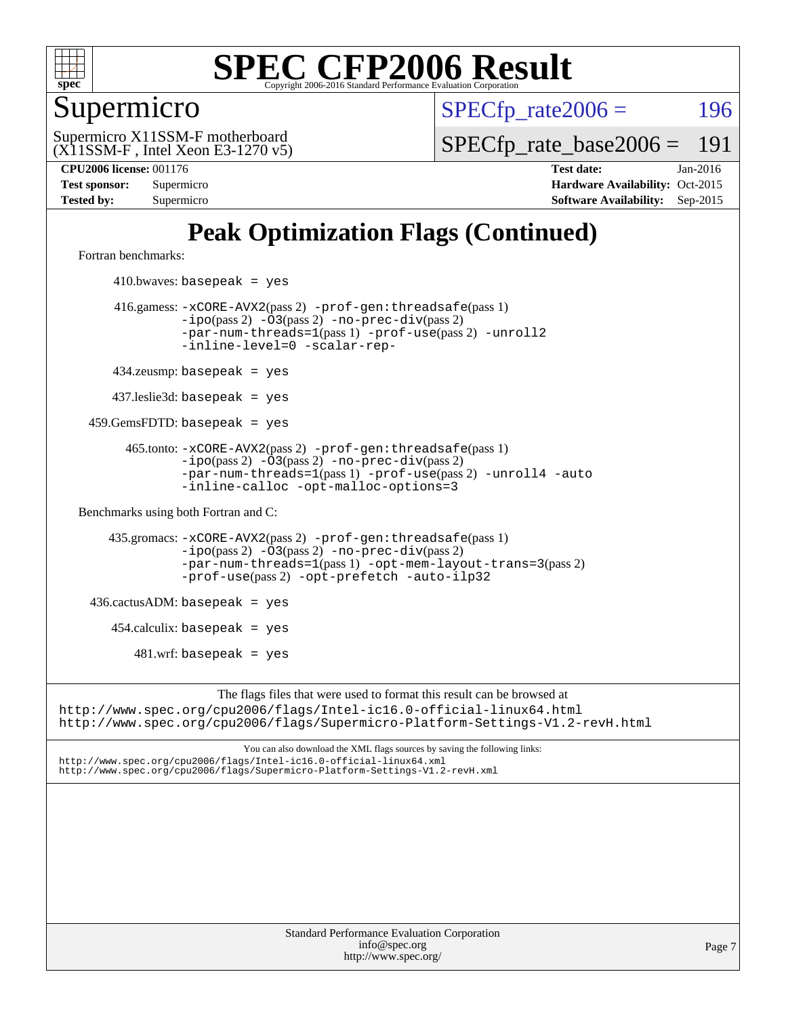

### Supermicro

 $SPECTp\_rate2006 = 196$ 

(X11SSM-F , Intel Xeon E3-1270 v5) Supermicro X11SSM-F motherboard

[SPECfp\\_rate\\_base2006 =](http://www.spec.org/auto/cpu2006/Docs/result-fields.html#SPECfpratebase2006) 191

**[CPU2006 license:](http://www.spec.org/auto/cpu2006/Docs/result-fields.html#CPU2006license)** 001176 **[Test date:](http://www.spec.org/auto/cpu2006/Docs/result-fields.html#Testdate)** Jan-2016 **[Test sponsor:](http://www.spec.org/auto/cpu2006/Docs/result-fields.html#Testsponsor)** Supermicro Supermicro **[Hardware Availability:](http://www.spec.org/auto/cpu2006/Docs/result-fields.html#HardwareAvailability)** Oct-2015 **[Tested by:](http://www.spec.org/auto/cpu2006/Docs/result-fields.html#Testedby)** Supermicro **Supermicro [Software Availability:](http://www.spec.org/auto/cpu2006/Docs/result-fields.html#SoftwareAvailability)** Sep-2015

## **[Peak Optimization Flags \(Continued\)](http://www.spec.org/auto/cpu2006/Docs/result-fields.html#PeakOptimizationFlags)**

[Fortran benchmarks](http://www.spec.org/auto/cpu2006/Docs/result-fields.html#Fortranbenchmarks):

 $410.bwaves: basepeak = yes$  416.gamess: [-xCORE-AVX2](http://www.spec.org/cpu2006/results/res2016q1/cpu2006-20160111-38647.flags.html#user_peakPASS2_FFLAGSPASS2_LDFLAGS416_gamess_f-xAVX2_5f5fc0cbe2c9f62c816d3e45806c70d7)(pass 2) [-prof-gen:threadsafe](http://www.spec.org/cpu2006/results/res2016q1/cpu2006-20160111-38647.flags.html#user_peakPASS1_FFLAGSPASS1_LDFLAGS416_gamess_prof_gen_21a26eb79f378b550acd7bec9fe4467a)(pass 1) [-ipo](http://www.spec.org/cpu2006/results/res2016q1/cpu2006-20160111-38647.flags.html#user_peakPASS2_FFLAGSPASS2_LDFLAGS416_gamess_f-ipo)(pass 2) [-O3](http://www.spec.org/cpu2006/results/res2016q1/cpu2006-20160111-38647.flags.html#user_peakPASS2_FFLAGSPASS2_LDFLAGS416_gamess_f-O3)(pass 2) [-no-prec-div](http://www.spec.org/cpu2006/results/res2016q1/cpu2006-20160111-38647.flags.html#user_peakPASS2_FFLAGSPASS2_LDFLAGS416_gamess_f-no-prec-div)(pass 2) [-par-num-threads=1](http://www.spec.org/cpu2006/results/res2016q1/cpu2006-20160111-38647.flags.html#user_peakPASS1_FFLAGSPASS1_LDFLAGS416_gamess_par_num_threads_786a6ff141b4e9e90432e998842df6c2)(pass 1) [-prof-use](http://www.spec.org/cpu2006/results/res2016q1/cpu2006-20160111-38647.flags.html#user_peakPASS2_FFLAGSPASS2_LDFLAGS416_gamess_prof_use_bccf7792157ff70d64e32fe3e1250b55)(pass 2) [-unroll2](http://www.spec.org/cpu2006/results/res2016q1/cpu2006-20160111-38647.flags.html#user_peakOPTIMIZE416_gamess_f-unroll_784dae83bebfb236979b41d2422d7ec2) [-inline-level=0](http://www.spec.org/cpu2006/results/res2016q1/cpu2006-20160111-38647.flags.html#user_peakOPTIMIZE416_gamess_f-inline-level_318d07a09274ad25e8d15dbfaa68ba50) [-scalar-rep-](http://www.spec.org/cpu2006/results/res2016q1/cpu2006-20160111-38647.flags.html#user_peakOPTIMIZE416_gamess_f-disablescalarrep_abbcad04450fb118e4809c81d83c8a1d) 434.zeusmp: basepeak = yes 437.leslie3d: basepeak = yes 459.GemsFDTD: basepeak = yes 465.tonto: [-xCORE-AVX2](http://www.spec.org/cpu2006/results/res2016q1/cpu2006-20160111-38647.flags.html#user_peakPASS2_FFLAGSPASS2_LDFLAGS465_tonto_f-xAVX2_5f5fc0cbe2c9f62c816d3e45806c70d7)(pass 2) [-prof-gen:threadsafe](http://www.spec.org/cpu2006/results/res2016q1/cpu2006-20160111-38647.flags.html#user_peakPASS1_FFLAGSPASS1_LDFLAGS465_tonto_prof_gen_21a26eb79f378b550acd7bec9fe4467a)(pass 1)  $-ipo(pass 2)$  $-ipo(pass 2)$   $-03(pass 2)$   $-no-prec-div(pass 2)$  $-no-prec-div(pass 2)$ [-par-num-threads=1](http://www.spec.org/cpu2006/results/res2016q1/cpu2006-20160111-38647.flags.html#user_peakPASS1_FFLAGSPASS1_LDFLAGS465_tonto_par_num_threads_786a6ff141b4e9e90432e998842df6c2)(pass 1) [-prof-use](http://www.spec.org/cpu2006/results/res2016q1/cpu2006-20160111-38647.flags.html#user_peakPASS2_FFLAGSPASS2_LDFLAGS465_tonto_prof_use_bccf7792157ff70d64e32fe3e1250b55)(pass 2) [-unroll4](http://www.spec.org/cpu2006/results/res2016q1/cpu2006-20160111-38647.flags.html#user_peakOPTIMIZE465_tonto_f-unroll_4e5e4ed65b7fd20bdcd365bec371b81f) [-auto](http://www.spec.org/cpu2006/results/res2016q1/cpu2006-20160111-38647.flags.html#user_peakOPTIMIZE465_tonto_f-auto) [-inline-calloc](http://www.spec.org/cpu2006/results/res2016q1/cpu2006-20160111-38647.flags.html#user_peakOPTIMIZE465_tonto_f-inline-calloc) [-opt-malloc-options=3](http://www.spec.org/cpu2006/results/res2016q1/cpu2006-20160111-38647.flags.html#user_peakOPTIMIZE465_tonto_f-opt-malloc-options_13ab9b803cf986b4ee62f0a5998c2238) [Benchmarks using both Fortran and C](http://www.spec.org/auto/cpu2006/Docs/result-fields.html#BenchmarksusingbothFortranandC): 435.gromacs: [-xCORE-AVX2](http://www.spec.org/cpu2006/results/res2016q1/cpu2006-20160111-38647.flags.html#user_peakPASS2_CFLAGSPASS2_FFLAGSPASS2_LDFLAGS435_gromacs_f-xAVX2_5f5fc0cbe2c9f62c816d3e45806c70d7)(pass 2) [-prof-gen:threadsafe](http://www.spec.org/cpu2006/results/res2016q1/cpu2006-20160111-38647.flags.html#user_peakPASS1_CFLAGSPASS1_FFLAGSPASS1_LDFLAGS435_gromacs_prof_gen_21a26eb79f378b550acd7bec9fe4467a)(pass 1) [-ipo](http://www.spec.org/cpu2006/results/res2016q1/cpu2006-20160111-38647.flags.html#user_peakPASS2_CFLAGSPASS2_FFLAGSPASS2_LDFLAGS435_gromacs_f-ipo)(pass 2) [-O3](http://www.spec.org/cpu2006/results/res2016q1/cpu2006-20160111-38647.flags.html#user_peakPASS2_CFLAGSPASS2_FFLAGSPASS2_LDFLAGS435_gromacs_f-O3)(pass 2) [-no-prec-div](http://www.spec.org/cpu2006/results/res2016q1/cpu2006-20160111-38647.flags.html#user_peakPASS2_CFLAGSPASS2_FFLAGSPASS2_LDFLAGS435_gromacs_f-no-prec-div)(pass 2) [-par-num-threads=1](http://www.spec.org/cpu2006/results/res2016q1/cpu2006-20160111-38647.flags.html#user_peakPASS1_CFLAGSPASS1_FFLAGSPASS1_LDFLAGS435_gromacs_par_num_threads_786a6ff141b4e9e90432e998842df6c2)(pass 1) [-opt-mem-layout-trans=3](http://www.spec.org/cpu2006/results/res2016q1/cpu2006-20160111-38647.flags.html#user_peakPASS2_CFLAGS435_gromacs_f-opt-mem-layout-trans_a7b82ad4bd7abf52556d4961a2ae94d5)(pass 2) [-prof-use](http://www.spec.org/cpu2006/results/res2016q1/cpu2006-20160111-38647.flags.html#user_peakPASS2_CFLAGSPASS2_FFLAGSPASS2_LDFLAGS435_gromacs_prof_use_bccf7792157ff70d64e32fe3e1250b55)(pass 2) [-opt-prefetch](http://www.spec.org/cpu2006/results/res2016q1/cpu2006-20160111-38647.flags.html#user_peakOPTIMIZE435_gromacs_f-opt-prefetch) [-auto-ilp32](http://www.spec.org/cpu2006/results/res2016q1/cpu2006-20160111-38647.flags.html#user_peakCOPTIMIZE435_gromacs_f-auto-ilp32)  $436.cactusADM:basepeak = yes$  454.calculix: basepeak = yes  $481.$ wrf: basepeak = yes The flags files that were used to format this result can be browsed at <http://www.spec.org/cpu2006/flags/Intel-ic16.0-official-linux64.html> <http://www.spec.org/cpu2006/flags/Supermicro-Platform-Settings-V1.2-revH.html>

You can also download the XML flags sources by saving the following links: <http://www.spec.org/cpu2006/flags/Intel-ic16.0-official-linux64.xml> <http://www.spec.org/cpu2006/flags/Supermicro-Platform-Settings-V1.2-revH.xml>